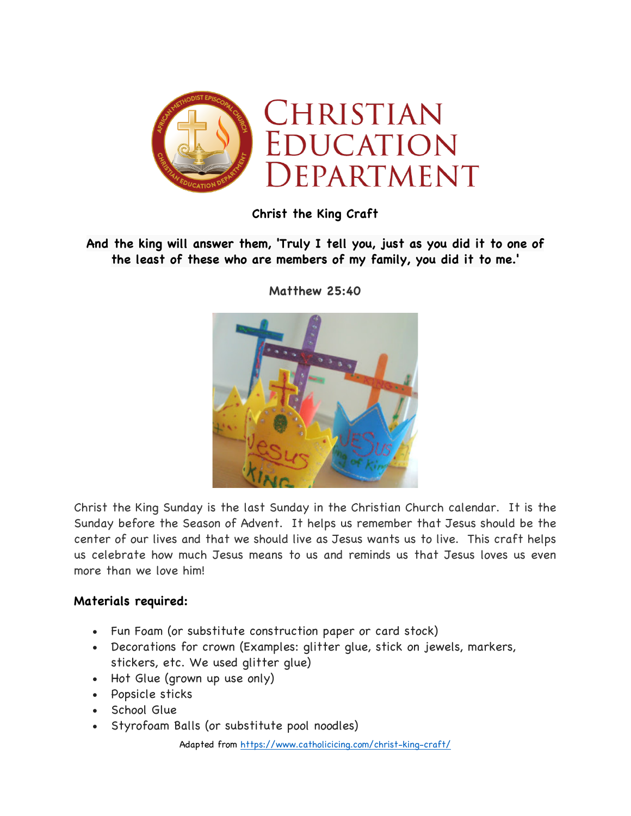

**Christ the King Craft**

## **And the king will answer them, 'Truly I tell you, just as you did it to one of the least of these who are members of my family, you did it to me.'**



**Matthew 25:40**

Christ the King Sunday is the last Sunday in the Christian Church calendar. It is the Sunday before the Season of Advent. It helps us remember that Jesus should be the center of our lives and that we should live as Jesus wants us to live. This craft helps us celebrate how much Jesus means to us and reminds us that Jesus loves us even more than we love him!

## **Materials required:**

- Fun Foam (or substitute construction paper or card stock)
- Decorations for crown (Examples: glitter glue, stick on jewels, markers, stickers, etc. We used glitter glue)
- Hot Glue (grown up use only)
- Popsicle sticks
- School Glue
- Styrofoam Balls (or substitute pool noodles)